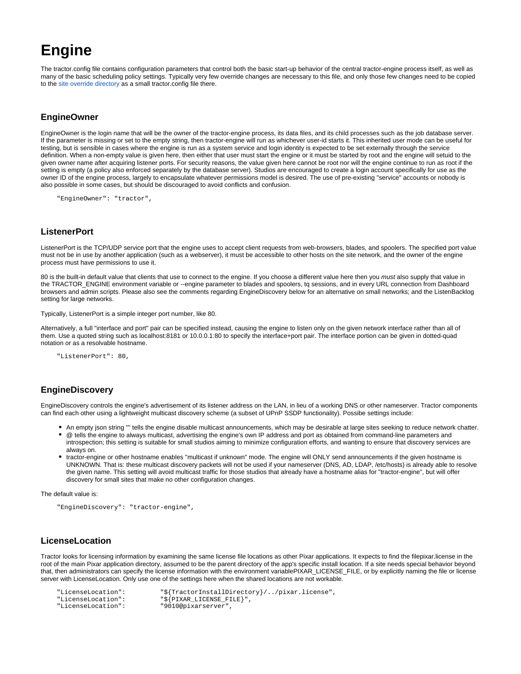# **Engine**

The tractor.config file contains configuration parameters that control both the basic start-up behavior of the central tractor-engine process itself, as well as many of the basic scheduling policy settings. Typically very few override changes are necessary to this file, and only those few changes need to be copied to the [site override directory](https://rmanwiki.pixar.com/display/TRA/Configuration#Configuration-overrides) as a small tractor.config file there.

## **EngineOwner**

EngineOwner is the login name that will be the owner of the tractor-engine process, its data files, and its child processes such as the job database server. If the parameter is missing or set to the empty string, then tractor-engine will run as whichever user-id starts it. This inherited user mode can be useful for testing, but is sensible in cases where the engine is run as a system service and login identity is expected to be set externally through the service definition. When a non-empty value is given here, then either that user must start the engine or it must be started by root and the engine will setuid to the given owner name after acquiring listener ports. For security reasons, the value given here cannot be root nor will the engine continue to run as root if the setting is empty (a policy also enforced separately by the database server). Studios are encouraged to create a login account specifically for use as the owner ID of the engine process, largely to encapsulate whatever permissions model is desired. The use of pre-existing "service" accounts or nobody is also possible in some cases, but should be discouraged to avoid conflicts and confusion.

"EngineOwner": "tractor",

## **ListenerPort**

ListenerPort is the TCP/UDP service port that the engine uses to accept client requests from web-browsers, blades, and spoolers. The specified port value must not be in use by another application (such as a webserver), it must be accessible to other hosts on the site network, and the owner of the engine process must have permissions to use it.

80 is the built-in default value that clients that use to connect to the engine. If you choose a different value here then you must also supply that value in the TRACTOR\_ENGINE environment variable or --engine parameter to blades and spoolers, tq sessions, and in every URL connection from Dashboard browsers and admin scripts. Please also see the comments regarding EngineDiscovery below for an alternative on small networks; and the ListenBacklog setting for large networks.

Typically, ListenerPort is a simple integer port number, like 80.

Alternatively, a full "interface and port" pair can be specified instead, causing the engine to listen only on the given network interface rather than all of them. Use a quoted string such as localhost:8181 or 10.0.0.1:80 to specify the interface+port pair. The interface portion can be given in dotted-quad notation or as a resolvable hostname.

"ListenerPort": 80,

#### **EngineDiscovery**

EngineDiscovery controls the engine's advertisement of its listener address on the LAN, in lieu of a working DNS or other nameserver. Tractor components can find each other using a lightweight multicast discovery scheme (a subset of UPnP SSDP functionality). Possibe settings include:

- An empty json string "" tells the engine disable multicast announcements, which may be desirable at large sites seeking to reduce network chatter.
- @ tells the engine to always multicast, advertising the engine's own IP address and port as obtained from command-line parameters and introspection; this setting is suitable for small studios aiming to minimize configuration efforts, and wanting to ensure that discovery services are always on.
- tractor-engine or other hostname enables "multicast if unknown" mode. The engine will ONLY send announcements if the given hostname is UNKNOWN. That is: these multicast discovery packets will not be used if your nameserver (DNS, AD, LDAP, /etc/hosts) is already able to resolve the given name. This setting will avoid multicast traffic for those studios that already have a hostname alias for "tractor-engine", but will offer discovery for small sites that make no other configuration changes.

The default value is:

```
"EngineDiscovery": "tractor-engine",
```
## **LicenseLocation**

Tractor looks for licensing information by examining the same license file locations as other Pixar applications. It expects to find the filepixar.license in the root of the main Pixar application directory, assumed to be the parent directory of the app's specific install location. If a site needs special behavior beyond that, then administrators can specify the license information with the environment variablePIXAR\_LICENSE\_FILE, or by explicitly naming the file or license server with LicenseLocation. Only use one of the settings here when the shared locations are not workable.

"LicenseLocation": "\${TractorInstallDirectory}/../pixar.license",<br>"LicenseLocation": "\${PIXAR LICENSE FILE}", "LicenseLocation": "\${PIXAR\_LICENSE\_FILE}",<br>"LicenseLocation": "9010@pixarserver", "9010@pixarserver",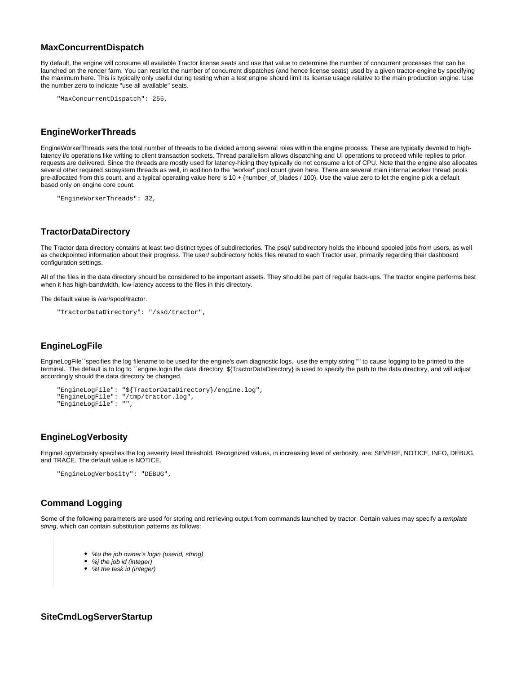### **MaxConcurrentDispatch**

By default, the engine will consume all available Tractor license seats and use that value to determine the number of concurrent processes that can be launched on the render farm. You can restrict the number of concurrent dispatches (and hence license seats) used by a given tractor-engine by specifying the maximum here. This is typically only useful during testing when a test engine should limit its license usage relative to the main production engine. Use the number zero to indicate "use all available" seats.

```
"MaxConcurrentDispatch": 255,
```
#### **EngineWorkerThreads**

EngineWorkerThreads sets the total number of threads to be divided among several roles within the engine process. These are typically devoted to highlatency i/o operations like writing to client transaction sockets. Thread parallelism allows dispatching and UI operations to proceed while replies to prior requests are delivered. Since the threads are mostly used for latency-hiding they typically do not consume a lot of CPU. Note that the engine also allocates several other required subsystem threads as well, in addition to the "worker" pool count given here. There are several main internal worker thread pools pre-allocated from this count, and a typical operating value here is 10 + (number\_of\_blades / 100). Use the value zero to let the engine pick a default based only on engine core count.

"EngineWorkerThreads": 32,

## **TractorDataDirectory**

The Tractor data directory contains at least two distinct types of subdirectories. The psql/ subdirectory holds the inbound spooled jobs from users, as well as checkpointed information about their progress. The user/ subdirectory holds files related to each Tractor user, primarily regarding their dashboard configuration settings.

All of the files in the data directory should be considered to be important assets. They should be part of regular back-ups. The tractor engine performs best when it has high-bandwidth, low-latency access to the files in this directory.

The default value is /var/spool/tractor.

```
"TractorDataDirectory": "/ssd/tractor",
```
## **EngineLogFile**

EngineLogFile``specifies the log filename to be used for the engine's own diagnostic logs. use the empty string "" to cause logging to be printed to the terminal. The default is to log to ``engine.login the data directory. \${TractorDataDirectory} is used to specify the path to the data directory, and will adjust accordingly should the data directory be changed.

```
"EngineLogFile": "${TractorDataDirectory}/engine.log",
"EngineLogFile": "/tmp/tractor.log",
"EngineLogFile": "",
```
## **EngineLogVerbosity**

EngineLogVerbosity specifies the log severity level threshold. Recognized values, in increasing level of verbosity, are: SEVERE, NOTICE, INFO, DEBUG, and TRACE. The default value is NOTICE.

```
"EngineLogVerbosity": "DEBUG",
```
## **Command Logging**

Some of the following parameters are used for storing and retrieving output from commands launched by tractor. Certain values may specify a template string, which can contain substitution patterns as follows:

- %u the job owner's login (userid, string)
- %j the job id (integer)
- %t the task id (integer)

**SiteCmdLogServerStartup**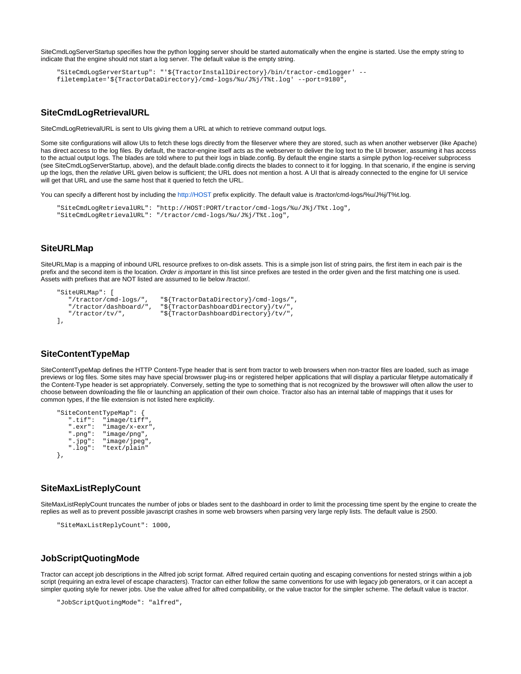SiteCmdLogServerStartup specifies how the python logging server should be started automatically when the engine is started. Use the empty string to indicate that the engine should not start a log server. The default value is the empty string.

```
"SiteCmdLogServerStartup": "'${TractorInstallDirectory}/bin/tractor-cmdlogger' --
filetemplate='${TractorDataDirectory}/cmd-logs/%u/J%j/T%t.log' --port=9180",
```
### **SiteCmdLogRetrievalURL**

SiteCmdLogRetrievalURL is sent to UIs giving them a URL at which to retrieve command output logs.

Some site configurations will allow UIs to fetch these logs directly from the fileserver where they are stored, such as when another webserver (like Apache) has direct access to the log files. By default, the tractor-engine itself acts as the webserver to deliver the log text to the UI browser, assuming it has access to the actual output logs. The blades are told where to put their logs in blade.config. By default the engine starts a simple python log-receiver subprocess (see SiteCmdLogServerStartup, above), and the default blade.config directs the blades to connect to it for logging. In that scenario, if the engine is serving up the logs, then the relative URL given below is sufficient; the URL does not mention a host. A UI that is already connected to the engine for UI service will get that URL and use the same host that it queried to fetch the URL.

You can specify a different host by including the <http://HOST>prefix explicitly. The default value is /tractor/cmd-logs/%u/J%j/T%t.log.

```
"SiteCmdLogRetrievalURL": "http://HOST:PORT/tractor/cmd-logs/%u/J%j/T%t.log",
"SiteCmdLogRetrievalURL": "/tractor/cmd-logs/%u/J%j/T%t.log",
```
#### **SiteURLMap**

SiteURLMap is a mapping of inbound URL resource prefixes to on-disk assets. This is a simple json list of string pairs, the first item in each pair is the prefix and the second item is the location. Order is important in this list since prefixes are tested in the order given and the first matching one is used. Assets with prefixes that are NOT listed are assumed to lie below /tractor/.

```
"SiteURLMap": [
                         "${TractorDataDirectory}/cmd-logs/",
   "/tractor/dashboard/", "${TractorDashboardDirectory}/tv/",
                         "${TractorDashboardDirectory}/tv/",
],
```
#### **SiteContentTypeMap**

SiteContentTypeMap defines the HTTP Content-Type header that is sent from tractor to web browsers when non-tractor files are loaded, such as image previews or log files. Some sites may have special browswer plug-ins or registered helper applications that will display a particular filetype automatically if the Content-Type header is set appropriately. Conversely, setting the type to something that is not recognized by the browswer will often allow the user to choose between downloading the file or launching an application of their own choice. Tractor also has an internal table of mappings that it uses for common types, if the file extension is not listed here explicitly.

```
"SiteContentTypeMap": {
 ".tif": "image/tiff",
 ".exr": "image/x-exr",
    ".png": "image/png",
    ".jpg": "image/jpeg",
    ".log": "text/plain"
},
```
### **SiteMaxListReplyCount**

SiteMaxListReplyCount truncates the number of jobs or blades sent to the dashboard in order to limit the processing time spent by the engine to create the replies as well as to prevent possible javascript crashes in some web browsers when parsing very large reply lists. The default value is 2500.

```
"SiteMaxListReplyCount": 1000,
```
#### **JobScriptQuotingMode**

Tractor can accept job descriptions in the Alfred job script format. Alfred required certain quoting and escaping conventions for nested strings within a job script (requiring an extra level of escape characters). Tractor can either follow the same conventions for use with legacy job generators, or it can accept a simpler quoting style for newer jobs. Use the value alfred for alfred compatibility, or the value tractor for the simpler scheme. The default value is tractor.

```
"JobScriptQuotingMode": "alfred",
```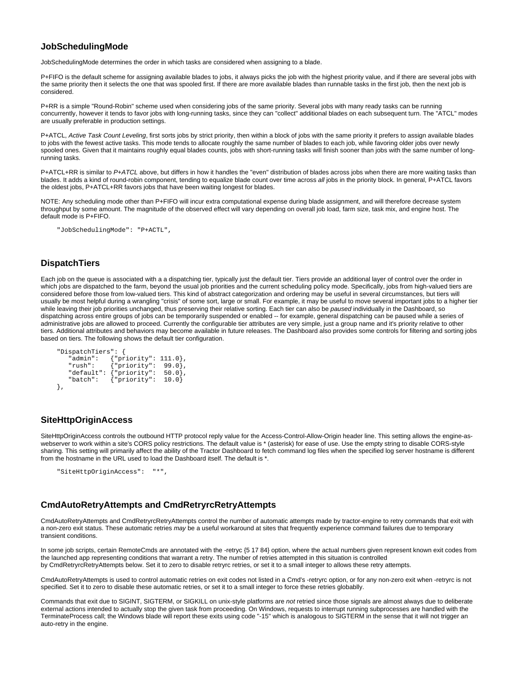#### **JobSchedulingMode**

JobSchedulingMode determines the order in which tasks are considered when assigning to a blade.

P+FIFO is the default scheme for assigning available blades to jobs, it always picks the job with the highest priority value, and if there are several jobs with the same priority then it selects the one that was spooled first. If there are more available blades than runnable tasks in the first job, then the next job is considered.

P+RR is a simple "Round-Robin" scheme used when considering jobs of the same priority. Several jobs with many ready tasks can be running concurrently, however it tends to favor jobs with long-running tasks, since they can "collect" additional blades on each subsequent turn. The "ATCL" modes are usually preferable in production settings.

P+ATCL, Active Task Count Leveling, first sorts jobs by strict priority, then within a block of jobs with the same priority it prefers to assign available blades to jobs with the fewest active tasks. This mode tends to allocate roughly the same number of blades to each job, while favoring older jobs over newly spooled ones. Given that it maintains roughly equal blades counts, jobs with short-running tasks will finish sooner than jobs with the same number of longrunning tasks.

P+ATCL+RR is similar to P+ATCL above, but differs in how it handles the "even" distribution of blades across jobs when there are more waiting tasks than blades. It adds a kind of round-robin component, tending to equalize blade count over time across all jobs in the priority block. In general, P+ATCL favors the oldest jobs, P+ATCL+RR favors jobs that have been waiting longest for blades.

NOTE: Any scheduling mode other than P+FIFO will incur extra computational expense during blade assignment, and will therefore decrease system throughput by some amount. The magnitude of the observed effect will vary depending on overall job load, farm size, task mix, and engine host. The default mode is P+FIFO.

"JobSchedulingMode": "P+ACTL",

#### **DispatchTiers**

Each job on the queue is associated with a a dispatching tier, typically just the default tier. Tiers provide an additional layer of control over the order in which jobs are dispatched to the farm, beyond the usual job priorities and the current scheduling policy mode. Specifically, jobs from high-valued tiers are considered before those from low-valued tiers. This kind of abstract categorization and ordering may be useful in several circumstances, but tiers will usually be most helpful during a wrangling "crisis" of some sort, large or small. For example, it may be useful to move several important jobs to a higher tier while leaving their job priorities unchanged, thus preserving their relative sorting. Each tier can also be paused individually in the Dashboard, so dispatching across entire groups of jobs can be temporarily suspended or enabled -- for example, general dispatching can be paused while a series of administrative jobs are allowed to proceed. Currently the configurable tier attributes are very simple, just a group name and it's priority relative to other tiers. Additional attributes and behaviors may become available in future releases. The Dashboard also provides some controls for filtering and sorting jobs based on tiers. The following shows the default tier configuration.

```
"DispatchTiers": {
             {'}"priority": 111.0},
 "rush": {"priority": 99.0},
 "default": {"priority": 50.0},
    "batch": {"priority": 10.0}
},
```
## **SiteHttpOriginAccess**

SiteHttpOriginAccess controls the outbound HTTP protocol reply value for the Access-Control-Allow-Origin header line. This setting allows the engine-aswebserver to work within a site's CORS policy restrictions. The default value is \* (asterisk) for ease of use. Use the empty string to disable CORS-style sharing. This setting will primarily affect the ability of the Tractor Dashboard to fetch command log files when the specified log server hostname is different from the hostname in the URL used to load the Dashboard itself. The default is \*.

```
"SiteHttpOriginAccess": "*",
```
## **CmdAutoRetryAttempts and CmdRetryrcRetryAttempts**

CmdAutoRetryAttempts and CmdRetryrcRetryAttempts control the number of automatic attempts made by tractor-engine to retry commands that exit with a non-zero exit status. These automatic retries may be a useful workaround at sites that frequently experience command failures due to temporary transient conditions.

In some job scripts, certain RemoteCmds are annotated with the -retryc {5 17 84} option, where the actual numbers given represent known exit codes from the launched app representing conditions that warrant a retry. The number of retries attempted in this situation is controlled by CmdRetryrcRetryAttempts below. Set it to zero to disable retryrc retries, or set it to a small integer to allows these retry attempts.

CmdAutoRetryAttempts is used to control automatic retries on exit codes not listed in a Cmd's -retryrc option, or for any non-zero exit when -retryrc is not specified. Set it to zero to disable these automatic retries, or set it to a small integer to force these retries globablly.

Commands that exit due to SIGINT, SIGTERM, or SIGKILL on unix-style platforms are not retried since those signals are almost always due to deliberate external actions intended to actually stop the given task from proceeding. On Windows, requests to interrupt running subprocesses are handled with the TerminateProcess call; the Windows blade will report these exits using code "-15" which is analogous to SIGTERM in the sense that it will not trigger an auto-retry in the engine.